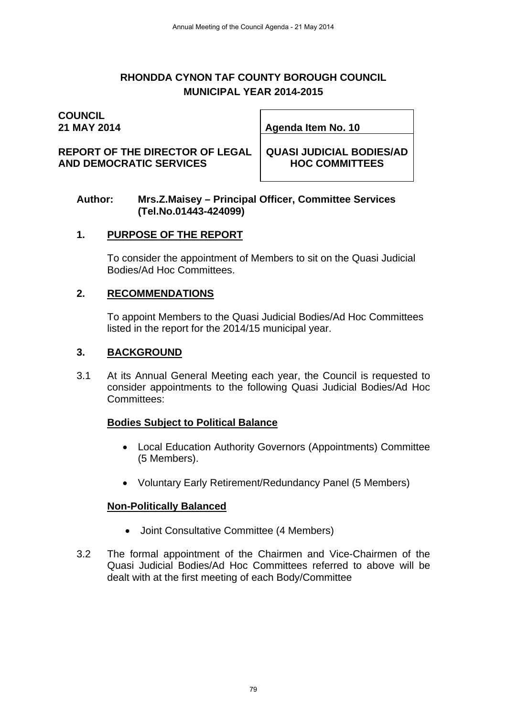# **RHONDDA CYNON TAF COUNTY BOROUGH COUNCIL MUNICIPAL YEAR 2014-2015**

# **COUNCIL**

**21 MAY 2014 Agenda Item No. 10** 

**REPORT OF THE DIRECTOR OF LEGAL AND DEMOCRATIC SERVICES** 

**QUASI JUDICIAL BODIES/AD HOC COMMITTEES** 

#### **Author: Mrs.Z.Maisey – Principal Officer, Committee Services (Tel.No.01443-424099)**

# **1. PURPOSE OF THE REPORT**

 To consider the appointment of Members to sit on the Quasi Judicial Bodies/Ad Hoc Committees.

## **2. RECOMMENDATIONS**

 To appoint Members to the Quasi Judicial Bodies/Ad Hoc Committees listed in the report for the 2014/15 municipal year.

## **3. BACKGROUND**

3.1 At its Annual General Meeting each year, the Council is requested to consider appointments to the following Quasi Judicial Bodies/Ad Hoc Committees:

# **Bodies Subject to Political Balance**

- Local Education Authority Governors (Appointments) Committee (5 Members).
- Voluntary Early Retirement/Redundancy Panel (5 Members)

# **Non-Politically Balanced**

- Joint Consultative Committee (4 Members)
- 3.2 The formal appointment of the Chairmen and Vice-Chairmen of the Quasi Judicial Bodies/Ad Hoc Committees referred to above will be dealt with at the first meeting of each Body/Committee